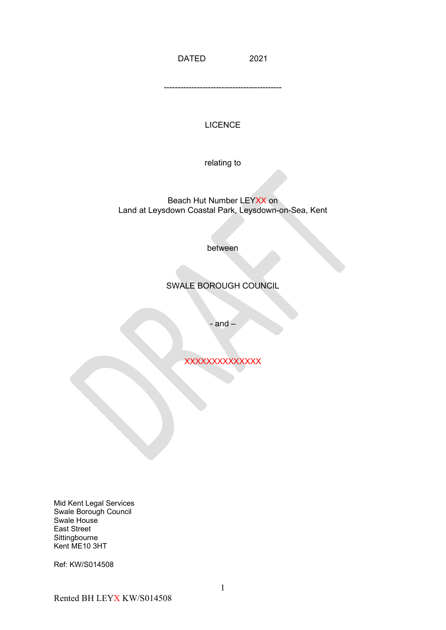DATED 2021

-------------------------------------------

## LICENCE

relating to

Beach Hut Number LEYXX on Land at Leysdown Coastal Park, Leysdown-on-Sea, Kent

between

# SWALE BOROUGH COUNCIL

- and –

**XXXXXXXXXXXXX** 

Mid Kent Legal Services Swale Borough Council Swale House East Street **Sittingbourne** Kent ME10 3HT

Ref: KW/S014508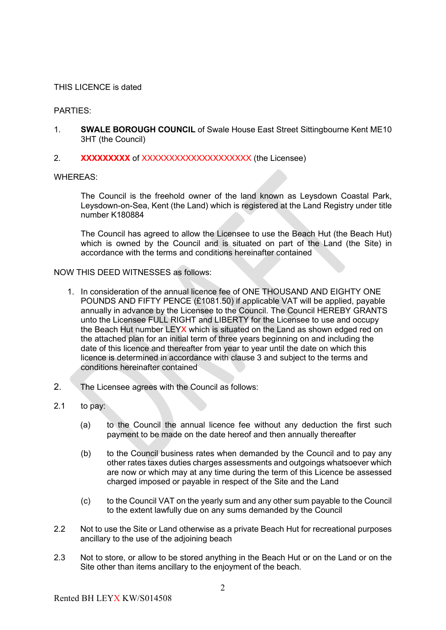### THIS LICENCE is dated

### PARTIES:

- 1. **SWALE BOROUGH COUNCIL** of Swale House East Street Sittingbourne Kent ME10 3HT (the Council)
- 2. **XXXXXXXXX** of XXXXXXXXXXXXXXXXXXXXX (the Licensee)

WHEREAS:

The Council is the freehold owner of the land known as Leysdown Coastal Park, Leysdown-on-Sea, Kent (the Land) which is registered at the Land Registry under title number K180884

The Council has agreed to allow the Licensee to use the Beach Hut (the Beach Hut) which is owned by the Council and is situated on part of the Land (the Site) in accordance with the terms and conditions hereinafter contained

#### NOW THIS DEED WITNESSES as follows:

- 1. In consideration of the annual licence fee of ONE THOUSAND AND EIGHTY ONE POUNDS AND FIFTY PENCE (£1081.50) if applicable VAT will be applied, payable annually in advance by the Licensee to the Council. The Council HEREBY GRANTS unto the Licensee FULL RIGHT and LIBERTY for the Licensee to use and occupy the Beach Hut number LEYX which is situated on the Land as shown edged red on the attached plan for an initial term of three years beginning on and including the date of this licence and thereafter from year to year until the date on which this licence is determined in accordance with clause 3 and subject to the terms and conditions hereinafter contained
- 2. The Licensee agrees with the Council as follows:
- 2.1 to pay:
	- (a) to the Council the annual licence fee without any deduction the first such payment to be made on the date hereof and then annually thereafter
	- (b) to the Council business rates when demanded by the Council and to pay any other rates taxes duties charges assessments and outgoings whatsoever which are now or which may at any time during the term of this Licence be assessed charged imposed or payable in respect of the Site and the Land
	- (c) to the Council VAT on the yearly sum and any other sum payable to the Council to the extent lawfully due on any sums demanded by the Council
- 2.2 Not to use the Site or Land otherwise as a private Beach Hut for recreational purposes ancillary to the use of the adjoining beach
- 2.3 Not to store, or allow to be stored anything in the Beach Hut or on the Land or on the Site other than items ancillary to the enjoyment of the beach.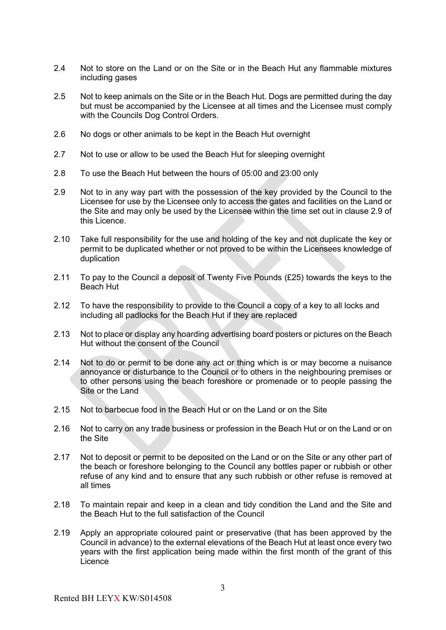- 2.4 Not to store on the Land or on the Site or in the Beach Hut any flammable mixtures including gases
- 2.5 Not to keep animals on the Site or in the Beach Hut. Dogs are permitted during the day but must be accompanied by the Licensee at all times and the Licensee must comply with the Councils Dog Control Orders.
- 2.6 No dogs or other animals to be kept in the Beach Hut overnight
- 2.7 Not to use or allow to be used the Beach Hut for sleeping overnight
- 2.8 To use the Beach Hut between the hours of 05:00 and 23:00 only
- 2.9 Not to in any way part with the possession of the key provided by the Council to the Licensee for use by the Licensee only to access the gates and facilities on the Land or the Site and may only be used by the Licensee within the time set out in clause 2.9 of this Licence.
- 2.10 Take full responsibility for the use and holding of the key and not duplicate the key or permit to be duplicated whether or not proved to be within the Licensees knowledge of duplication
- 2.11 To pay to the Council a deposit of Twenty Five Pounds (£25) towards the keys to the Beach Hut
- 2.12 To have the responsibility to provide to the Council a copy of a key to all locks and including all padlocks for the Beach Hut if they are replaced
- 2.13 Not to place or display any hoarding advertising board posters or pictures on the Beach Hut without the consent of the Council
- 2.14 Not to do or permit to be done any act or thing which is or may become a nuisance annoyance or disturbance to the Council or to others in the neighbouring premises or to other persons using the beach foreshore or promenade or to people passing the Site or the Land
- 2.15 Not to barbecue food in the Beach Hut or on the Land or on the Site
- 2.16 Not to carry on any trade business or profession in the Beach Hut or on the Land or on the Site
- 2.17 Not to deposit or permit to be deposited on the Land or on the Site or any other part of the beach or foreshore belonging to the Council any bottles paper or rubbish or other refuse of any kind and to ensure that any such rubbish or other refuse is removed at all times
- 2.18 To maintain repair and keep in a clean and tidy condition the Land and the Site and the Beach Hut to the full satisfaction of the Council
- 2.19 Apply an appropriate coloured paint or preservative (that has been approved by the Council in advance) to the external elevations of the Beach Hut at least once every two years with the first application being made within the first month of the grant of this **Licence**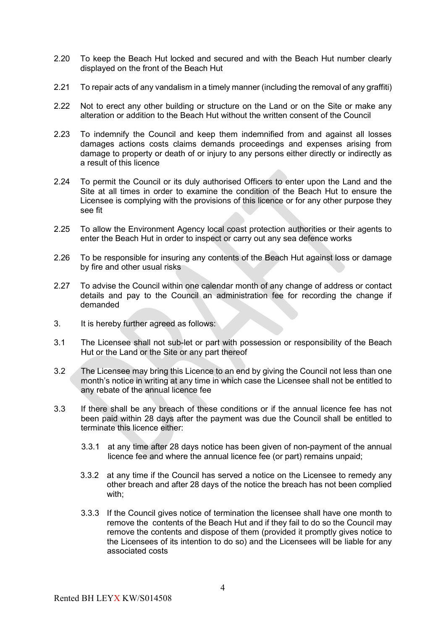- 2.20 To keep the Beach Hut locked and secured and with the Beach Hut number clearly displayed on the front of the Beach Hut
- 2.21 To repair acts of any vandalism in a timely manner (including the removal of any graffiti)
- 2.22 Not to erect any other building or structure on the Land or on the Site or make any alteration or addition to the Beach Hut without the written consent of the Council
- 2.23 To indemnify the Council and keep them indemnified from and against all losses damages actions costs claims demands proceedings and expenses arising from damage to property or death of or injury to any persons either directly or indirectly as a result of this licence
- 2.24 To permit the Council or its duly authorised Officers to enter upon the Land and the Site at all times in order to examine the condition of the Beach Hut to ensure the Licensee is complying with the provisions of this licence or for any other purpose they see fit
- 2.25 To allow the Environment Agency local coast protection authorities or their agents to enter the Beach Hut in order to inspect or carry out any sea defence works
- 2.26 To be responsible for insuring any contents of the Beach Hut against loss or damage by fire and other usual risks
- 2.27 To advise the Council within one calendar month of any change of address or contact details and pay to the Council an administration fee for recording the change if demanded
- 3. It is hereby further agreed as follows:
- 3.1 The Licensee shall not sub-let or part with possession or responsibility of the Beach Hut or the Land or the Site or any part thereof
- 3.2 The Licensee may bring this Licence to an end by giving the Council not less than one month's notice in writing at any time in which case the Licensee shall not be entitled to any rebate of the annual licence fee
- 3.3 If there shall be any breach of these conditions or if the annual licence fee has not been paid within 28 days after the payment was due the Council shall be entitled to terminate this licence either:
	- 3.3.1 at any time after 28 days notice has been given of non-payment of the annual licence fee and where the annual licence fee (or part) remains unpaid;
	- 3.3.2 at any time if the Council has served a notice on the Licensee to remedy any other breach and after 28 days of the notice the breach has not been complied with;
	- 3.3.3 If the Council gives notice of termination the licensee shall have one month to remove the contents of the Beach Hut and if they fail to do so the Council may remove the contents and dispose of them (provided it promptly gives notice to the Licensees of its intention to do so) and the Licensees will be liable for any associated costs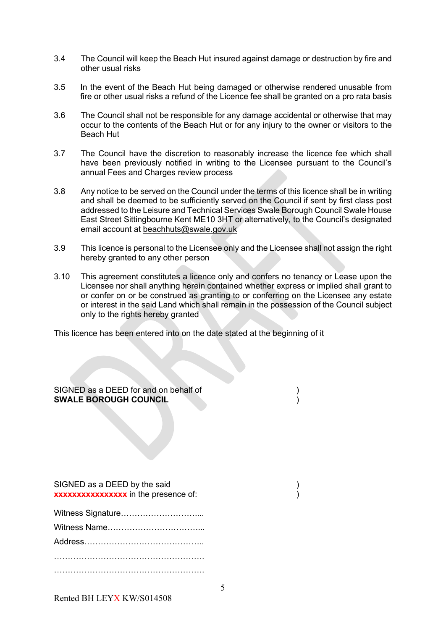- 3.4 The Council will keep the Beach Hut insured against damage or destruction by fire and other usual risks
- 3.5 In the event of the Beach Hut being damaged or otherwise rendered unusable from fire or other usual risks a refund of the Licence fee shall be granted on a pro rata basis
- 3.6 The Council shall not be responsible for any damage accidental or otherwise that may occur to the contents of the Beach Hut or for any injury to the owner or visitors to the Beach Hut
- 3.7 The Council have the discretion to reasonably increase the licence fee which shall have been previously notified in writing to the Licensee pursuant to the Council's annual Fees and Charges review process
- 3.8 Any notice to be served on the Council under the terms of this licence shall be in writing and shall be deemed to be sufficiently served on the Council if sent by first class post addressed to the Leisure and Technical Services Swale Borough Council Swale House East Street Sittingbourne Kent ME10 3HT or alternatively, to the Council's designated email account at [beachhuts@swale.gov.uk](mailto:beachhuts@swale.gov.uk)
- 3.9 This licence is personal to the Licensee only and the Licensee shall not assign the right hereby granted to any other person
- 3.10 This agreement constitutes a licence only and confers no tenancy or Lease upon the Licensee nor shall anything herein contained whether express or implied shall grant to or confer on or be construed as granting to or conferring on the Licensee any estate or interest in the said Land which shall remain in the possession of the Council subject only to the rights hereby granted

This licence has been entered into on the date stated at the beginning of it

SIGNED as a DEED for and on behalf of  $\hspace{1.5cm}$ **SWALE BOROUGH COUNCIL** )

SIGNED as a DEED by the said )

……………………………………………….